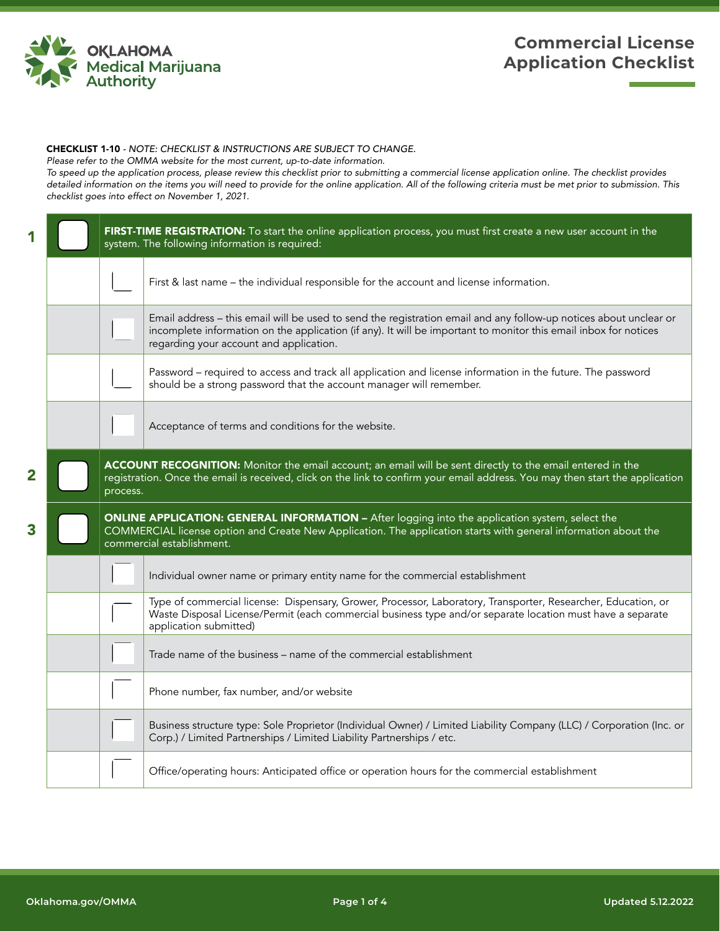

## **Commercial License Application Checklist**

## CHECKLIST 1-10 *- NOTE: CHECKLIST & INSTRUCTIONS ARE SUBJECT TO CHANGE.*

*Please refer to the OMMA website for the most current, up-to-date information.*

*To speed up the application process, please review this checklist prior to submitting a commercial license application online. The checklist provides detailed information on the items you will need to provide for the online application. All of the following criteria must be met prior to submission. This checklist goes into effect on November 1, 2021.*

|   |                                                                                                                                                                                                                                                         | FIRST-TIME REGISTRATION: To start the online application process, you must first create a new user account in the<br>system. The following information is required:                                                                                                              |
|---|---------------------------------------------------------------------------------------------------------------------------------------------------------------------------------------------------------------------------------------------------------|----------------------------------------------------------------------------------------------------------------------------------------------------------------------------------------------------------------------------------------------------------------------------------|
|   |                                                                                                                                                                                                                                                         | First & last name – the individual responsible for the account and license information.                                                                                                                                                                                          |
|   |                                                                                                                                                                                                                                                         | Email address - this email will be used to send the registration email and any follow-up notices about unclear or<br>incomplete information on the application (if any). It will be important to monitor this email inbox for notices<br>regarding your account and application. |
|   |                                                                                                                                                                                                                                                         | Password - required to access and track all application and license information in the future. The password<br>should be a strong password that the account manager will remember.                                                                                               |
|   |                                                                                                                                                                                                                                                         | Acceptance of terms and conditions for the website.                                                                                                                                                                                                                              |
| 2 | ACCOUNT RECOGNITION: Monitor the email account; an email will be sent directly to the email entered in the<br>registration. Once the email is received, click on the link to confirm your email address. You may then start the application<br>process. |                                                                                                                                                                                                                                                                                  |
| 3 |                                                                                                                                                                                                                                                         | <b>ONLINE APPLICATION: GENERAL INFORMATION - After logging into the application system, select the</b><br>COMMERCIAL license option and Create New Application. The application starts with general information about the<br>commercial establishment.                           |
|   |                                                                                                                                                                                                                                                         | Individual owner name or primary entity name for the commercial establishment                                                                                                                                                                                                    |
|   |                                                                                                                                                                                                                                                         | Type of commercial license: Dispensary, Grower, Processor, Laboratory, Transporter, Researcher, Education, or<br>Waste Disposal License/Permit (each commercial business type and/or separate location must have a separate<br>application submitted)                            |
|   |                                                                                                                                                                                                                                                         | Trade name of the business - name of the commercial establishment                                                                                                                                                                                                                |
|   |                                                                                                                                                                                                                                                         | Phone number, fax number, and/or website                                                                                                                                                                                                                                         |
|   |                                                                                                                                                                                                                                                         | Business structure type: Sole Proprietor (Individual Owner) / Limited Liability Company (LLC) / Corporation (Inc. or<br>Corp.) / Limited Partnerships / Limited Liability Partnerships / etc.                                                                                    |
|   |                                                                                                                                                                                                                                                         | Office/operating hours: Anticipated office or operation hours for the commercial establishment                                                                                                                                                                                   |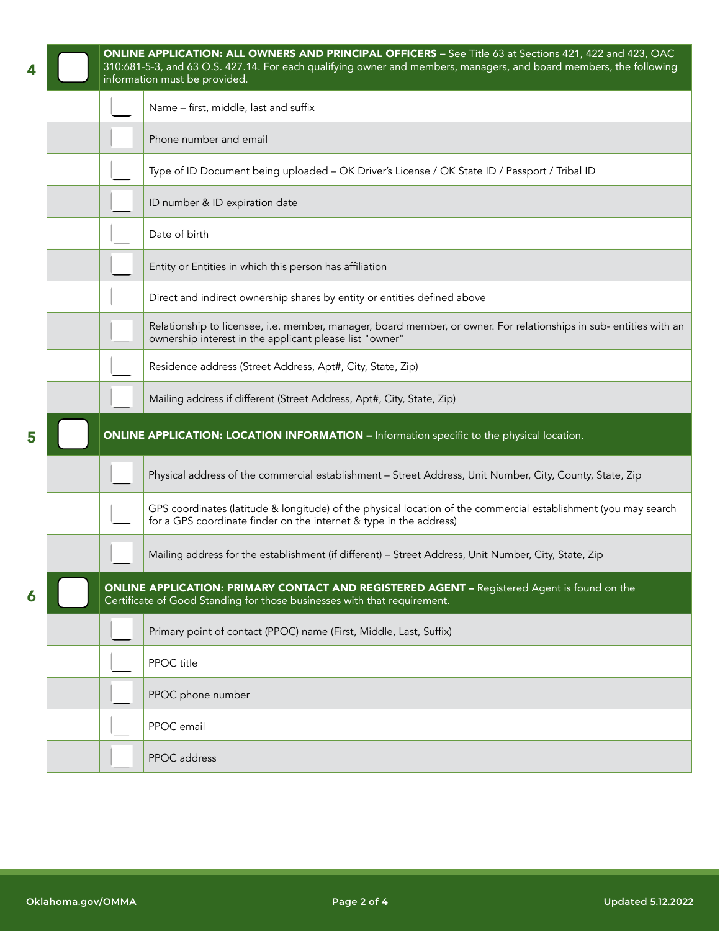|   |  | ONLINE APPLICATION: ALL OWNERS AND PRINCIPAL OFFICERS - See Title 63 at Sections 421, 422 and 423, OAC<br>310:681-5-3, and 63 O.S. 427.14. For each qualifying owner and members, managers, and board members, the following<br>information must be provided. |
|---|--|---------------------------------------------------------------------------------------------------------------------------------------------------------------------------------------------------------------------------------------------------------------|
|   |  | Name - first, middle, last and suffix                                                                                                                                                                                                                         |
|   |  | Phone number and email                                                                                                                                                                                                                                        |
|   |  | Type of ID Document being uploaded - OK Driver's License / OK State ID / Passport / Tribal ID                                                                                                                                                                 |
|   |  | ID number & ID expiration date                                                                                                                                                                                                                                |
|   |  | Date of birth                                                                                                                                                                                                                                                 |
|   |  | Entity or Entities in which this person has affiliation                                                                                                                                                                                                       |
|   |  | Direct and indirect ownership shares by entity or entities defined above                                                                                                                                                                                      |
|   |  | Relationship to licensee, i.e. member, manager, board member, or owner. For relationships in sub-entities with an<br>ownership interest in the applicant please list "owner"                                                                                  |
|   |  | Residence address (Street Address, Apt#, City, State, Zip)                                                                                                                                                                                                    |
|   |  | Mailing address if different (Street Address, Apt#, City, State, Zip)                                                                                                                                                                                         |
| 5 |  | <b>ONLINE APPLICATION: LOCATION INFORMATION - Information specific to the physical location.</b>                                                                                                                                                              |
|   |  | Physical address of the commercial establishment - Street Address, Unit Number, City, County, State, Zip                                                                                                                                                      |
|   |  | GPS coordinates (latitude & longitude) of the physical location of the commercial establishment (you may search<br>for a GPS coordinate finder on the internet & type in the address)                                                                         |
|   |  | Mailing address for the establishment (if different) - Street Address, Unit Number, City, State, Zip                                                                                                                                                          |
| 6 |  | <b>ONLINE APPLICATION: PRIMARY CONTACT AND REGISTERED AGENT - Registered Agent is found on the</b><br>Certificate of Good Standing for those businesses with that requirement.                                                                                |
|   |  |                                                                                                                                                                                                                                                               |
|   |  | Primary point of contact (PPOC) name (First, Middle, Last, Suffix)                                                                                                                                                                                            |
|   |  | PPOC title                                                                                                                                                                                                                                                    |
|   |  | PPOC phone number                                                                                                                                                                                                                                             |
|   |  | PPOC email                                                                                                                                                                                                                                                    |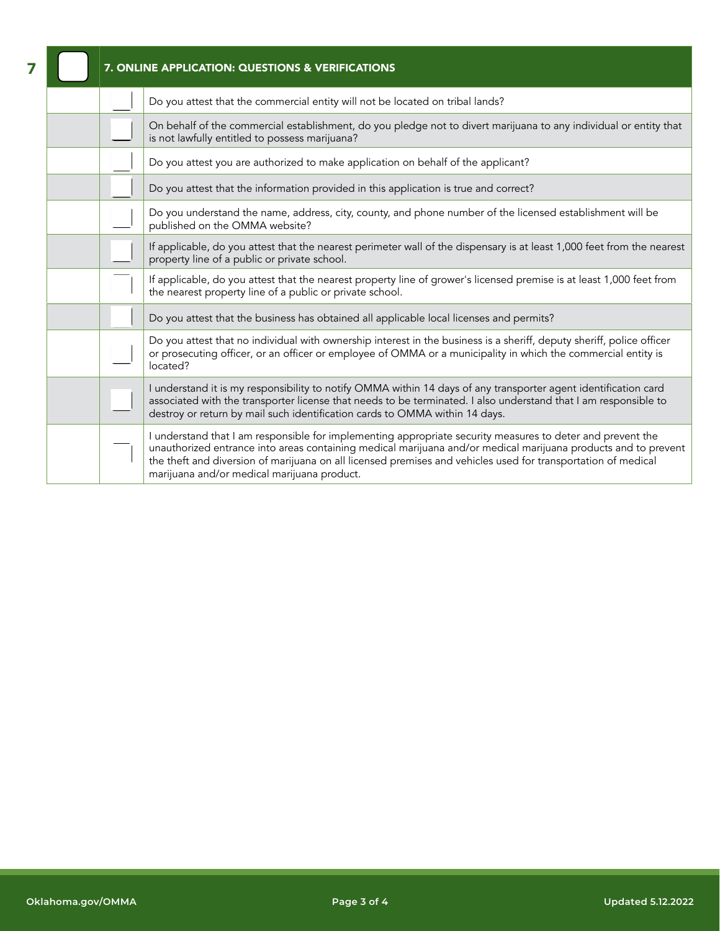| 7. ONLINE APPLICATION: QUESTIONS & VERIFICATIONS |                                                                                                                                                                                                                                                                                                                                                                                              |  |
|--------------------------------------------------|----------------------------------------------------------------------------------------------------------------------------------------------------------------------------------------------------------------------------------------------------------------------------------------------------------------------------------------------------------------------------------------------|--|
|                                                  | Do you attest that the commercial entity will not be located on tribal lands?                                                                                                                                                                                                                                                                                                                |  |
|                                                  | On behalf of the commercial establishment, do you pledge not to divert marijuana to any individual or entity that<br>is not lawfully entitled to possess marijuana?                                                                                                                                                                                                                          |  |
|                                                  | Do you attest you are authorized to make application on behalf of the applicant?                                                                                                                                                                                                                                                                                                             |  |
|                                                  | Do you attest that the information provided in this application is true and correct?                                                                                                                                                                                                                                                                                                         |  |
|                                                  | Do you understand the name, address, city, county, and phone number of the licensed establishment will be<br>published on the OMMA website?                                                                                                                                                                                                                                                  |  |
|                                                  | If applicable, do you attest that the nearest perimeter wall of the dispensary is at least 1,000 feet from the nearest<br>property line of a public or private school.                                                                                                                                                                                                                       |  |
|                                                  | If applicable, do you attest that the nearest property line of grower's licensed premise is at least 1,000 feet from<br>the nearest property line of a public or private school.                                                                                                                                                                                                             |  |
|                                                  | Do you attest that the business has obtained all applicable local licenses and permits?                                                                                                                                                                                                                                                                                                      |  |
|                                                  | Do you attest that no individual with ownership interest in the business is a sheriff, deputy sheriff, police officer<br>or prosecuting officer, or an officer or employee of OMMA or a municipality in which the commercial entity is<br>located?                                                                                                                                           |  |
|                                                  | I understand it is my responsibility to notify OMMA within 14 days of any transporter agent identification card<br>associated with the transporter license that needs to be terminated. I also understand that I am responsible to<br>destroy or return by mail such identification cards to OMMA within 14 days.                                                                            |  |
|                                                  | I understand that I am responsible for implementing appropriate security measures to deter and prevent the<br>unauthorized entrance into areas containing medical marijuana and/or medical marijuana products and to prevent<br>the theft and diversion of marijuana on all licensed premises and vehicles used for transportation of medical<br>marijuana and/or medical marijuana product. |  |

7